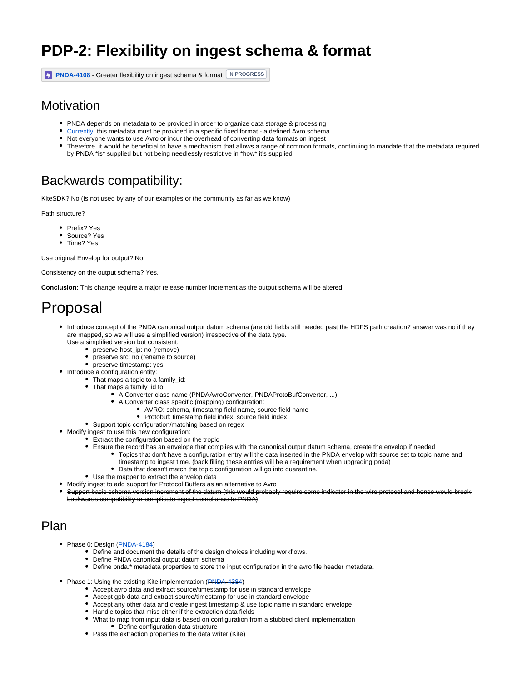# **PDP-2: Flexibility on ingest schema & format**

**[PNDA-4108](https://jira.pnda.io/browse/PNDA-4108)** - Greater flexibility on ingest schema & format **IN PROGRESS**

#### **Motivation**

- PNDA depends on metadata to be provided in order to organize data storage & processing
- [Currently](https://wiki.pnda.io/display/PNDA/PDP-2%3A+Current+Implementation), this metadata must be provided in a specific fixed format a defined Avro schema
- Not everyone wants to use Avro or incur the overhead of converting data formats on ingest
- Therefore, it would be beneficial to have a mechanism that allows a range of common formats, continuing to mandate that the metadata required by PNDA \*is\* supplied but not being needlessly restrictive in \*how\* it's supplied

### Backwards compatibility:

KiteSDK? No (Is not used by any of our examples or the community as far as we know)

Path structure?

- Prefix? Yes
- Source? Yes
- Time? Yes

Use original Envelop for output? No

Consistency on the output schema? Yes.

**Conclusion:** This change require a major release number increment as the output schema will be altered.

# Proposal

- Introduce concept of the PNDA canonical output datum schema (are old fields still needed past the HDFS path creation? answer was no if they are mapped, so we will use a simplified version) irrespective of the data type.
	- Use a simplified version but consistent:
		- preserve host\_ip: no (remove)
		- preserve src: no (rename to source) preserve timestamp: yes
- Introduce a configuration entity:
	- That maps a topic to a family id:
		- That maps a family\_id to:
			- A Converter class name (PNDAAvroConverter, PNDAProtoBufConverter, ...)
			- A Converter class specific (mapping) configuration:
				- AVRO: schema, timestamp field name, source field name
				- Protobuf: timestamp field index, source field index
		- Support topic configuration/matching based on regex
- Modify ingest to use this new configuration:
	- Extract the configuration based on the tropic
	- Ensure the record has an envelope that complies with the canonical output datum schema, create the envelop if needed
		- Topics that don't have a configuration entry will the data inserted in the PNDA envelop with source set to topic name and timestamp to ingest time. (back filling these entries will be a requirement when upgrading pnda)
		- Data that doesn't match the topic configuration will go into quarantine.
	- Use the mapper to extract the envelop data
- Modify ingest to add support for Protocol Buffers as an alternative to Avro
- Support basic schema version increment of the datum (this would probably require some indicator in the wire protocol and hence would break backwards compatibility or complicate ingest compliance to PNDA)

#### Plan

- Phase 0: Design ([PNDA-4184\)](https://issues.pnda.io/browse/PNDA-4184)
	- Define and document the details of the design choices including workflows.
	- Define PNDA canonical output datum schema
	- Define pnda.\* metadata properties to store the input configuration in the avro file header metadata.
- Phase 1: Using the existing Kite implementation [\(PNDA-4384](https://issues.pnda.io/browse/PNDA-4384))
	- Accept avro data and extract source/timestamp for use in standard envelope
	- Accept gpb data and extract source/timestamp for use in standard envelope
	- Accept any other data and create ingest timestamp & use topic name in standard envelope
	- Handle topics that miss either if the extraction data fields
	- What to map from input data is based on configuration from a stubbed client implementation Define configuration data structure
	- Pass the extraction properties to the data writer (Kite)